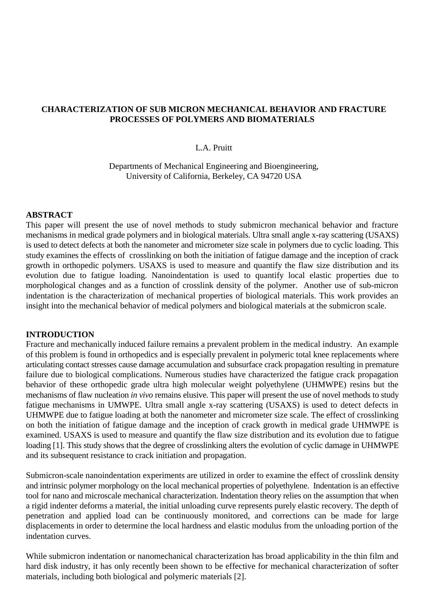# **CHARACTERIZATION OF SUB MICRON MECHANICAL BEHAVIOR AND FRACTURE PROCESSES OF POLYMERS AND BIOMATERIALS**

## L.A. Pruitt

Departments of Mechanical Engineering and Bioengineering, University of California, Berkeley, CA 94720 USA

#### **ABSTRACT**

This paper will present the use of novel methods to study submicron mechanical behavior and fracture mechanisms in medical grade polymers and in biological materials. Ultra small angle x-ray scattering (USAXS) is used to detect defects at both the nanometer and micrometer size scale in polymers due to cyclic loading. This study examines the effects of crosslinking on both the initiation of fatigue damage and the inception of crack growth in orthopedic polymers. USAXS is used to measure and quantify the flaw size distribution and its evolution due to fatigue loading. Nanoindentation is used to quantify local elastic properties due to morphological changes and as a function of crosslink density of the polymer. Another use of sub-micron indentation is the characterization of mechanical properties of biological materials. This work provides an insight into the mechanical behavior of medical polymers and biological materials at the submicron scale.

#### **INTRODUCTION**

Fracture and mechanically induced failure remains a prevalent problem in the medical industry. An example of this problem is found in orthopedics and is especially prevalent in polymeric total knee replacements where articulating contact stresses cause damage accumulation and subsurface crack propagation resulting in premature failure due to biological complications. Numerous studies have characterized the fatigue crack propagation behavior of these orthopedic grade ultra high molecular weight polyethylene (UHMWPE) resins but the mechanisms of flaw nucleation *in vivo* remains elusive. This paper will present the use of novel methods to study fatigue mechanisms in UMWPE. Ultra small angle x-ray scattering (USAXS) is used to detect defects in UHMWPE due to fatigue loading at both the nanometer and micrometer size scale. The effect of crosslinking on both the initiation of fatigue damage and the inception of crack growth in medical grade UHMWPE is examined. USAXS is used to measure and quantify the flaw size distribution and its evolution due to fatigue loading [1]. This study shows that the degree of crosslinking alters the evolution of cyclic damage in UHMWPE and its subsequent resistance to crack initiation and propagation.

Submicron-scale nanoindentation experiments are utilized in order to examine the effect of crosslink density and intrinsic polymer morphology on the local mechanical properties of polyethylene. Indentation is an effective tool for nano and microscale mechanical characterization. Indentation theory relies on the assumption that when a rigid indenter deforms a material, the initial unloading curve represents purely elastic recovery. The depth of penetration and applied load can be continuously monitored, and corrections can be made for large displacements in order to determine the local hardness and elastic modulus from the unloading portion of the indentation curves.

While submicron indentation or nanomechanical characterization has broad applicability in the thin film and hard disk industry, it has only recently been shown to be effective for mechanical characterization of softer materials, including both biological and polymeric materials [2].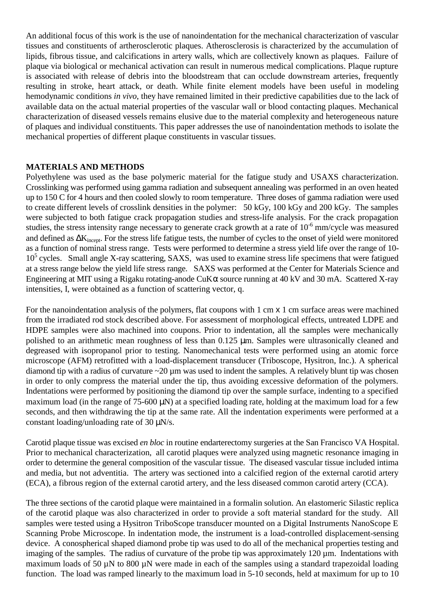An additional focus of this work is the use of nanoindentation for the mechanical characterization of vascular tissues and constituents of artherosclerotic plaques. Atherosclerosis is characterized by the accumulation of lipids, fibrous tissue, and calcifications in artery walls, which are collectively known as plaques. Failure of plaque via biological or mechanical activation can result in numerous medical complications. Plaque rupture is associated with release of debris into the bloodstream that can occlude downstream arteries, frequently resulting in stroke, heart attack, or death. While finite element models have been useful in modeling hemodynamic conditions *in vivo*, they have remained limited in their predictive capabilities due to the lack of available data on the actual material properties of the vascular wall or blood contacting plaques. Mechanical characterization of diseased vessels remains elusive due to the material complexity and heterogeneous nature of plaques and individual constituents. This paper addresses the use of nanoindentation methods to isolate the mechanical properties of different plaque constituents in vascular tissues.

## **MATERIALS AND METHODS**

Polyethylene was used as the base polymeric material for the fatigue study and USAXS characterization. Crosslinking was performed using gamma radiation and subsequent annealing was performed in an oven heated up to 150 C for 4 hours and then cooled slowly to room temperature. Three doses of gamma radiation were used to create different levels of crosslink densities in the polymer: 50 kGy, 100 kGy and 200 kGy. The samples were subjected to both fatigue crack propagation studies and stress-life analysis. For the crack propagation studies, the stress intensity range necessary to generate crack growth at a rate of 10<sup>-6</sup> mm/cycle was measured and defined as ∆K<sub>incept</sub>. For the stress life fatigue tests, the number of cycles to the onset of yield were monitored as a function of nominal stress range. Tests were performed to determine a stress yield life over the range of 10- 10<sup>5</sup> cycles. Small angle X-ray scattering, SAXS, was used to examine stress life specimens that were fatigued at a stress range below the yield life stress range. SAXS was performed at the Center for Materials Science and Engineering at MIT using a Rigaku rotating-anode CuK $\alpha$  source running at 40 kV and 30 mA. Scattered X-ray intensities, I, were obtained as a function of scattering vector, q.

For the nanoindentation analysis of the polymers, flat coupons with 1 cm x 1 cm surface areas were machined from the irradiated rod stock described above. For assessment of morphological effects, untreated LDPE and HDPE samples were also machined into coupons. Prior to indentation, all the samples were mechanically polished to an arithmetic mean roughness of less than 0.125 µm. Samples were ultrasonically cleaned and degreased with isopropanol prior to testing. Nanomechanical tests were performed using an atomic force microscope (AFM) retrofitted with a load-displacement transducer (Triboscope, Hysitron, Inc.). A spherical diamond tip with a radius of curvature  $\sim$ 20  $\mu$ m was used to indent the samples. A relatively blunt tip was chosen in order to only compress the material under the tip, thus avoiding excessive deformation of the polymers. Indentations were performed by positioning the diamond tip over the sample surface, indenting to a specified maximum load (in the range of 75-600  $\mu$ N) at a specified loading rate, holding at the maximum load for a few seconds, and then withdrawing the tip at the same rate. All the indentation experiments were performed at a constant loading/unloading rate of 30 µN/s.

Carotid plaque tissue was excised *en bloc* in routine endarterectomy surgeries at the San Francisco VA Hospital. Prior to mechanical characterization, all carotid plaques were analyzed using magnetic resonance imaging in order to determine the general composition of the vascular tissue. The diseased vascular tissue included intima and media, but not adventitia. The artery was sectioned into a calcified region of the external carotid artery (ECA), a fibrous region of the external carotid artery, and the less diseased common carotid artery (CCA).

The three sections of the carotid plaque were maintained in a formalin solution. An elastomeric Silastic replica of the carotid plaque was also characterized in order to provide a soft material standard for the study. All samples were tested using a Hysitron TriboScope transducer mounted on a Digital Instruments NanoScope E Scanning Probe Microscope. In indentation mode, the instrument is a load-controlled displacement-sensing device. A conospherical shaped diamond probe tip was used to do all of the mechanical properties testing and imaging of the samples. The radius of curvature of the probe tip was approximately 120  $\mu$ m. Indentations with maximum loads of 50  $\mu$ N to 800  $\mu$ N were made in each of the samples using a standard trapezoidal loading function. The load was ramped linearly to the maximum load in 5-10 seconds, held at maximum for up to 10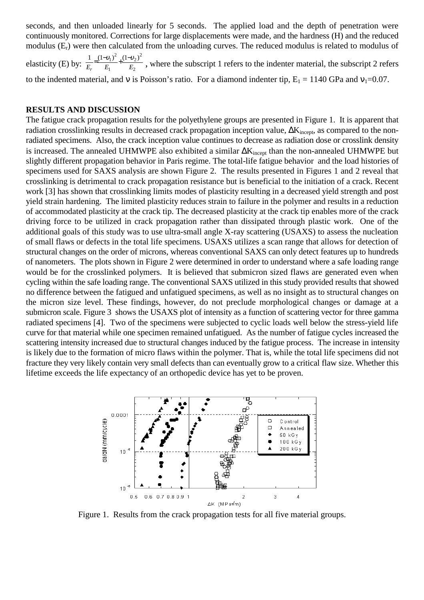seconds, and then unloaded linearly for 5 seconds. The applied load and the depth of penetration were continuously monitored. Corrections for large displacements were made, and the hardness (H) and the reduced modulus  $(E_r)$  were then calculated from the unloading curves. The reduced modulus is related to modulus of elasticity (E) by:  $\frac{E_r}{E_r} = \frac{1}{E_1} + \frac{1}{E_2}$  $_{2})^{2}$ 1  $1 - (1 - v_1)^2 + (1 - v_2)$  $E_r$   $E_1$   $E$  $=\frac{(1-v_1)^2}{E_1}+\frac{(1-v_2)^2}{E_2}$ , where the subscript 1 refers to the indenter material, the subscript 2 refers to the indented material, and v is Poisson's ratio. For a diamond indenter tip,  $E_1 = 1140$  GPa and  $v_1 = 0.07$ .

#### **RESULTS AND DISCUSSION**

The fatigue crack propagation results for the polyethylene groups are presented in Figure 1. It is apparent that radiation crosslinking results in decreased crack propagation inception value, ∆K<sub>incept</sub>, as compared to the nonradiated specimens. Also, the crack inception value continues to decrease as radiation dose or crosslink density is increased. The annealed UHMWPE also exhibited a similar ∆Kincept than the non-annealed UHMWPE but slightly different propagation behavior in Paris regime. The total-life fatigue behavior and the load histories of specimens used for SAXS analysis are shown Figure 2. The results presented in Figures 1 and 2 reveal that crosslinking is detrimental to crack propagation resistance but is beneficial to the initiation of a crack. Recent work [3] has shown that crosslinking limits modes of plasticity resulting in a decreased yield strength and post yield strain hardening. The limited plasticity reduces strain to failure in the polymer and results in a reduction of accommodated plasticity at the crack tip. The decreased plasticity at the crack tip enables more of the crack driving force to be utilized in crack propagation rather than dissipated through plastic work. One of the additional goals of this study was to use ultra-small angle X-ray scattering (USAXS) to assess the nucleation of small flaws or defects in the total life specimens. USAXS utilizes a scan range that allows for detection of structural changes on the order of microns, whereas conventional SAXS can only detect features up to hundreds of nanometers. The plots shown in Figure 2 were determined in order to understand where a safe loading range would be for the crosslinked polymers. It is believed that submicron sized flaws are generated even when cycling within the safe loading range. The conventional SAXS utilized in this study provided results that showed no difference between the fatigued and unfatigued specimens, as well as no insight as to structural changes on the micron size level. These findings, however, do not preclude morphological changes or damage at a submicron scale. Figure 3 shows the USAXS plot of intensity as a function of scattering vector for three gamma radiated specimens [4]. Two of the specimens were subjected to cyclic loads well below the stress-yield life curve for that material while one specimen remained unfatigued. As the number of fatigue cycles increased the scattering intensity increased due to structural changes induced by the fatigue process. The increase in intensity is likely due to the formation of micro flaws within the polymer. That is, while the total life specimens did not fracture they very likely contain very small defects than can eventually grow to a critical flaw size. Whether this lifetime exceeds the life expectancy of an orthopedic device has yet to be proven.



Figure 1. Results from the crack propagation tests for all five material groups.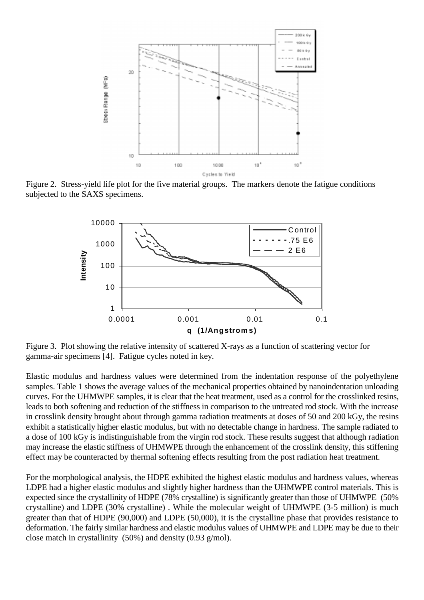

Figure 2. Stress-yield life plot for the five material groups. The markers denote the fatigue conditions subjected to the SAXS specimens.



Figure 3. Plot showing the relative intensity of scattered X-rays as a function of scattering vector for gamma-air specimens [4]. Fatigue cycles noted in key.

Elastic modulus and hardness values were determined from the indentation response of the polyethylene samples. Table 1 shows the average values of the mechanical properties obtained by nanoindentation unloading curves. For the UHMWPE samples, it is clear that the heat treatment, used as a control for the crosslinked resins, leads to both softening and reduction of the stiffness in comparison to the untreated rod stock. With the increase in crosslink density brought about through gamma radiation treatments at doses of 50 and 200 kGy, the resins exhibit a statistically higher elastic modulus, but with no detectable change in hardness. The sample radiated to a dose of 100 kGy is indistinguishable from the virgin rod stock. These results suggest that although radiation may increase the elastic stiffness of UHMWPE through the enhancement of the crosslink density, this stiffening effect may be counteracted by thermal softening effects resulting from the post radiation heat treatment.

For the morphological analysis, the HDPE exhibited the highest elastic modulus and hardness values, whereas LDPE had a higher elastic modulus and slightly higher hardness than the UHMWPE control materials. This is expected since the crystallinity of HDPE (78% crystalline) is significantly greater than those of UHMWPE (50% crystalline) and LDPE (30% crystalline) . While the molecular weight of UHMWPE (3-5 million) is much greater than that of HDPE (90,000) and LDPE (50,000), it is the crystalline phase that provides resistance to deformation. The fairly similar hardness and elastic modulus values of UHMWPE and LDPE may be due to their close match in crystallinity (50%) and density (0.93 g/mol).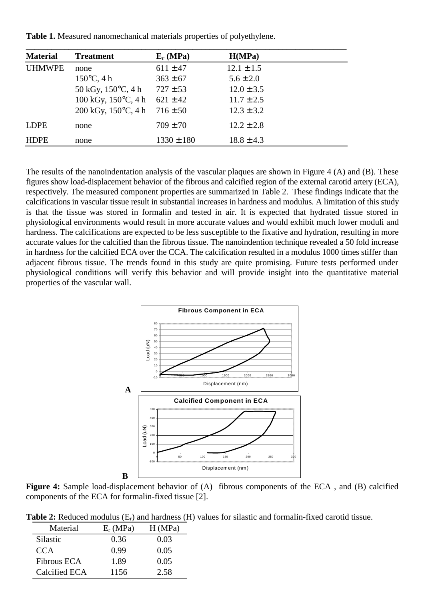**Table 1.** Measured nanomechanical materials properties of polyethylene.

| <b>Material</b> | <b>Treatment</b>              | $E_r(MPa)$     | H(MPa)         |  |
|-----------------|-------------------------------|----------------|----------------|--|
| <b>UHMWPE</b>   | none                          | $611 \pm 47$   | $12.1 \pm 1.5$ |  |
|                 | $150^{\circ}$ C, 4 h          | $363 \pm 67$   | $5.6 \pm 2.0$  |  |
|                 | 50 kGy, $150^{\circ}$ C, 4 h  | $727 \pm 53$   | $12.0 \pm 3.5$ |  |
|                 | 100 kGy, $150^{\circ}$ C, 4 h | $621 \pm 42$   | $11.7 \pm 2.5$ |  |
|                 | 200 kGy, $150^{\circ}$ C, 4 h | $716 \pm 50$   | $12.3 \pm 3.2$ |  |
| LDPE            | none                          | $709 \pm 70$   | $12.2 \pm 2.8$ |  |
| <b>HDPE</b>     | none                          | $1330 \pm 180$ | $18.8 \pm 4.3$ |  |

The results of the nanoindentation analysis of the vascular plaques are shown in Figure 4 (A) and (B). These figures show load-displacement behavior of the fibrous and calcified region of the external carotid artery (ECA), respectively. The measured component properties are summarized in Table 2. These findings indicate that the calcifications in vascular tissue result in substantial increases in hardness and modulus. A limitation of this study is that the tissue was stored in formalin and tested in air. It is expected that hydrated tissue stored in physiological environments would result in more accurate values and would exhibit much lower moduli and hardness. The calcifications are expected to be less susceptible to the fixative and hydration, resulting in more accurate values for the calcified than the fibrous tissue. The nanoindention technique revealed a 50 fold increase in hardness for the calcified ECA over the CCA. The calcification resulted in a modulus 1000 times stiffer than adjacent fibrous tissue. The trends found in this study are quite promising. Future tests performed under physiological conditions will verify this behavior and will provide insight into the quantitative material properties of the vascular wall.



**Figure 4:** Sample load-displacement behavior of (A) fibrous components of the ECA , and (B) calcified components of the ECA for formalin-fixed tissue [2].

**Table 2:** Reduced modulus (Er) and hardness (H) values for silastic and formalin-fixed carotid tissue.

| Material           | $E_r(MPa)$ | H(MPa) |
|--------------------|------------|--------|
| Silastic           | 0.36       | 0.03   |
| CCA                | 0.99       | 0.05   |
| <b>Fibrous ECA</b> | 1.89       | 0.05   |
| Calcified ECA      | 1156       | 2.58   |